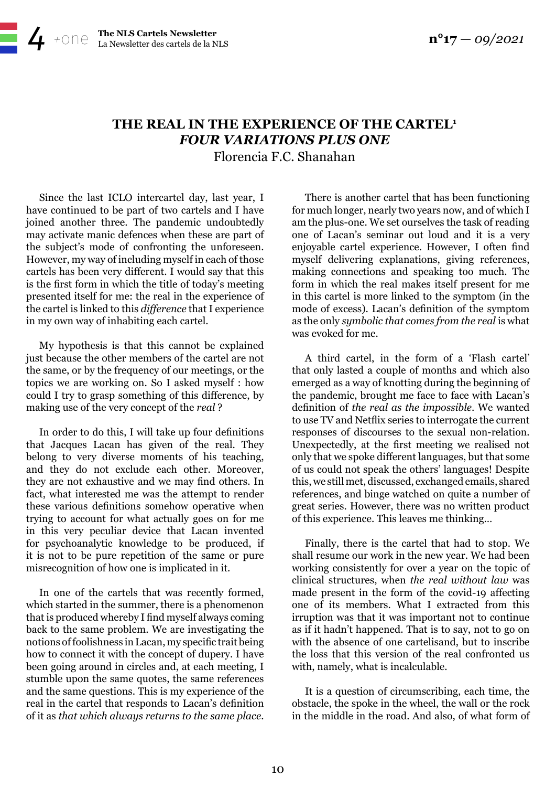## **THE REAL IN THE EXPERIENCE OF THE CARTEL1** *FOUR VARIATIONS PLUS ONE*

Florencia F.C. Shanahan

Since the last ICLO intercartel day, last year, I have continued to be part of two cartels and I have joined another three. The pandemic undoubtedly may activate manic defences when these are part of the subject's mode of confronting the unforeseen. However, my way of including myself in each of those cartels has been very different. I would say that this is the first form in which the title of today's meeting presented itself for me: the real in the experience of the cartel is linked to this *difference* that I experience in my own way of inhabiting each cartel.

[La Newsletter des cartels de la NLS](http://www.amp-nls.org/)

My hypothesis is that this cannot be explained just because the other members of the cartel are not the same, or by the frequency of our meetings, or the topics we are working on. So I asked myself : how could I try to grasp something of this difference, by making use of the very concept of the *real* ?

In order to do this, I will take up four definitions that Jacques Lacan has given of the real. They belong to very diverse moments of his teaching, and they do not exclude each other. Moreover, they are not exhaustive and we may find others. In fact, what interested me was the attempt to render these various definitions somehow operative when trying to account for what actually goes on for me in this very peculiar device that Lacan invented for psychoanalytic knowledge to be produced, if it is not to be pure repetition of the same or pure misrecognition of how one is implicated in it.

In one of the cartels that was recently formed, which started in the summer, there is a phenomenon that is produced whereby I find myself always coming back to the same problem. We are investigating the notions of foolishness in Lacan, my specific trait being how to connect it with the concept of dupery. I have been going around in circles and, at each meeting, I stumble upon the same quotes, the same references and the same questions. This is my experience of the real in the cartel that responds to Lacan's definition of it as *that which always returns to the same place*.

There is another cartel that has been functioning for much longer, nearly two years now, and of which I am the plus-one. We set ourselves the task of reading one of Lacan's seminar out loud and it is a very enjoyable cartel experience. However, I often find myself delivering explanations, giving references, making connections and speaking too much. The form in which the real makes itself present for me in this cartel is more linked to the symptom (in the mode of excess). Lacan's definition of the symptom as the only *symbolic that comes from the real* is what was evoked for me.

A third cartel, in the form of a 'Flash cartel' that only lasted a couple of months and which also emerged as a way of knotting during the beginning of the pandemic, brought me face to face with Lacan's definition of *the real as the impossible*. We wanted to use TV and Netflix series to interrogate the current responses of discourses to the sexual non-relation. Unexpectedly, at the first meeting we realised not only that we spoke different languages, but that some of us could not speak the others' languages! Despite this, we still met, discussed, exchanged emails, shared references, and binge watched on quite a number of great series. However, there was no written product of this experience. This leaves me thinking…

Finally, there is the cartel that had to stop. We shall resume our work in the new year. We had been working consistently for over a year on the topic of clinical structures, when *the real without law* was made present in the form of the covid-19 affecting one of its members. What I extracted from this irruption was that it was important not to continue as if it hadn't happened. That is to say, not to go on with the absence of one cartelisand, but to inscribe the loss that this version of the real confronted us with, namely, what is incalculable.

It is a question of circumscribing, each time, the obstacle, the spoke in the wheel, the wall or the rock in the middle in the road. And also, of what form of